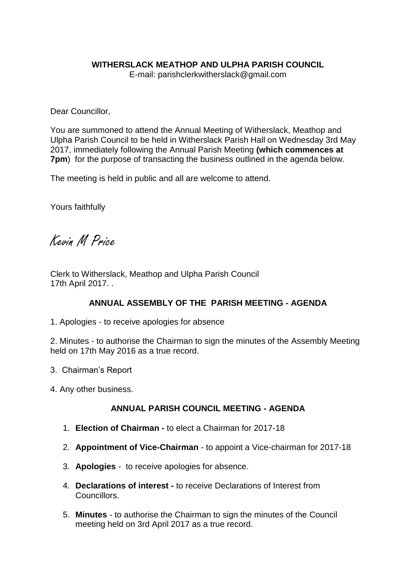## **WITHERSLACK MEATHOP AND ULPHA PARISH COUNCIL**

E-mail: parishclerkwitherslack@gmail.com

Dear Councillor,

You are summoned to attend the Annual Meeting of Witherslack, Meathop and Ulpha Parish Council to be held in Witherslack Parish Hall on Wednesday 3rd May 2017, immediately following the Annual Parish Meeting **(which commences at 7pm**) for the purpose of transacting the business outlined in the agenda below.

The meeting is held in public and all are welcome to attend.

Yours faithfully

Kevin M Price

Clerk to Witherslack, Meathop and Ulpha Parish Council 17th April 2017. .

## **ANNUAL ASSEMBLY OF THE PARISH MEETING - AGENDA**

1. Apologies - to receive apologies for absence

2. Minutes - to authorise the Chairman to sign the minutes of the Assembly Meeting held on 17th May 2016 as a true record.

- 3. Chairman's Report
- 4. Any other business.

## **ANNUAL PARISH COUNCIL MEETING - AGENDA**

- 1. **Election of Chairman -** to elect a Chairman for 2017-18
- 2. **Appointment of Vice-Chairman** *-* to appoint a Vice-chairman for 2017-18
- 3. **Apologies** to receive apologies for absence.
- 4. **Declarations of interest -** to receive Declarations of Interest from Councillors.
- 5. **Minutes** to authorise the Chairman to sign the minutes of the Council meeting held on 3rd April 2017 as a true record.